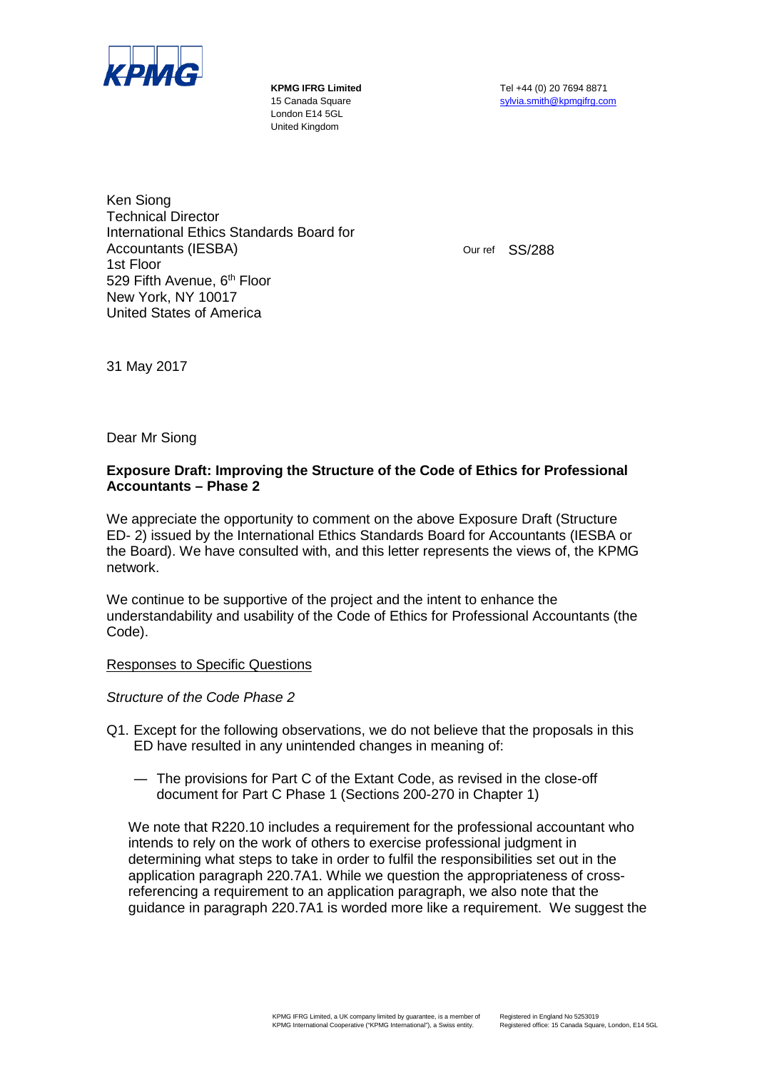

London E14 5GL United Kingdom

**KPMG IFRG Limited** Tel +44 (0) 20 7694 8871 15 Canada Square [sylvia.smith@kpmgifrg.com](mailto:sylvia.smith@kpmgifrg.com)

Ken Siong Technical Director International Ethics Standards Board for Accountants (IESBA) 1st Floor 529 Fifth Avenue, 6<sup>th</sup> Floor New York, NY 10017 United States of America

Our ref SS/288

31 May 2017

Dear Mr Siong

## **Exposure Draft: Improving the Structure of the Code of Ethics for Professional Accountants – Phase 2**

We appreciate the opportunity to comment on the above Exposure Draft (Structure ED- 2) issued by the International Ethics Standards Board for Accountants (IESBA or the Board). We have consulted with, and this letter represents the views of, the KPMG network.

We continue to be supportive of the project and the intent to enhance the understandability and usability of the Code of Ethics for Professional Accountants (the Code).

Responses to Specific Questions

*Structure of the Code Phase 2*

- Q1. Except for the following observations, we do not believe that the proposals in this ED have resulted in any unintended changes in meaning of:
	- ― The provisions for Part C of the Extant Code, as revised in the close-off document for Part C Phase 1 (Sections 200-270 in Chapter 1)

We note that R220.10 includes a requirement for the professional accountant who intends to rely on the work of others to exercise professional judgment in determining what steps to take in order to fulfil the responsibilities set out in the application paragraph 220.7A1. While we question the appropriateness of crossreferencing a requirement to an application paragraph, we also note that the guidance in paragraph 220.7A1 is worded more like a requirement. We suggest the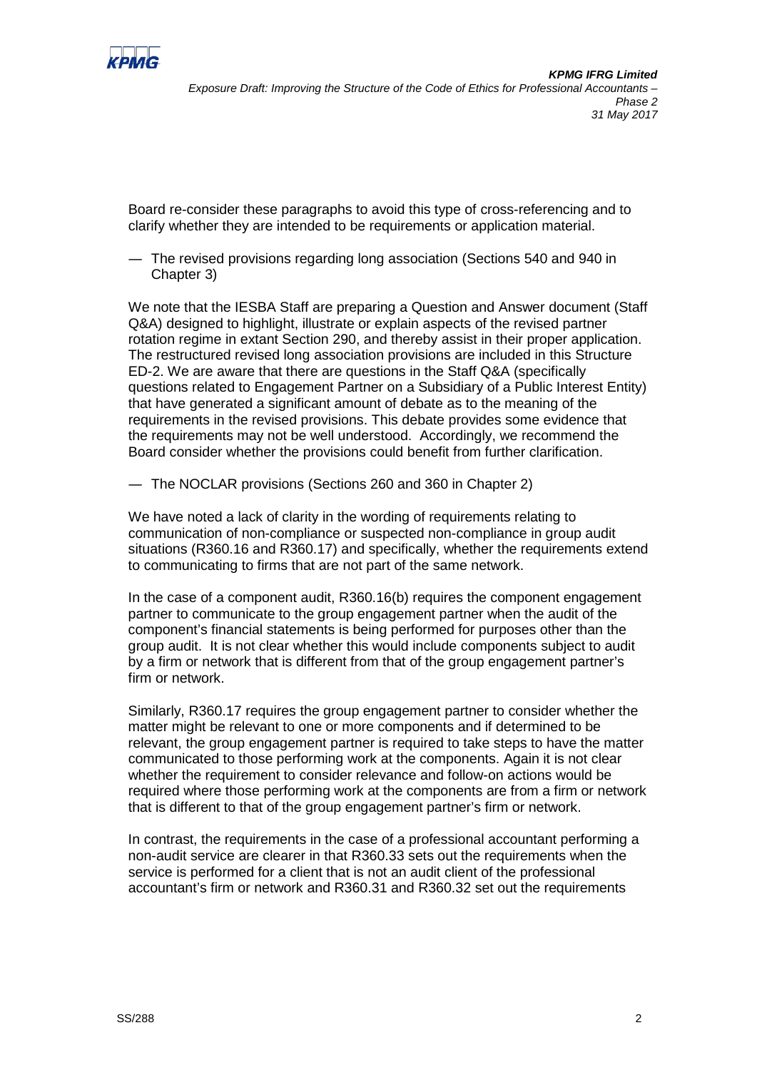

Board re-consider these paragraphs to avoid this type of cross-referencing and to clarify whether they are intended to be requirements or application material.

― The revised provisions regarding long association (Sections 540 and 940 in Chapter 3)

We note that the IESBA Staff are preparing a Question and Answer document (Staff Q&A) designed to highlight, illustrate or explain aspects of the revised partner rotation regime in extant Section 290, and thereby assist in their proper application. The restructured revised long association provisions are included in this Structure ED-2. We are aware that there are questions in the Staff Q&A (specifically questions related to Engagement Partner on a Subsidiary of a Public Interest Entity) that have generated a significant amount of debate as to the meaning of the requirements in the revised provisions. This debate provides some evidence that the requirements may not be well understood. Accordingly, we recommend the Board consider whether the provisions could benefit from further clarification.

― The NOCLAR provisions (Sections 260 and 360 in Chapter 2)

We have noted a lack of clarity in the wording of requirements relating to communication of non-compliance or suspected non-compliance in group audit situations (R360.16 and R360.17) and specifically, whether the requirements extend to communicating to firms that are not part of the same network.

In the case of a component audit, R360.16(b) requires the component engagement partner to communicate to the group engagement partner when the audit of the component's financial statements is being performed for purposes other than the group audit. It is not clear whether this would include components subject to audit by a firm or network that is different from that of the group engagement partner's firm or network.

Similarly, R360.17 requires the group engagement partner to consider whether the matter might be relevant to one or more components and if determined to be relevant, the group engagement partner is required to take steps to have the matter communicated to those performing work at the components. Again it is not clear whether the requirement to consider relevance and follow-on actions would be required where those performing work at the components are from a firm or network that is different to that of the group engagement partner's firm or network.

In contrast, the requirements in the case of a professional accountant performing a non-audit service are clearer in that R360.33 sets out the requirements when the service is performed for a client that is not an audit client of the professional accountant's firm or network and R360.31 and R360.32 set out the requirements